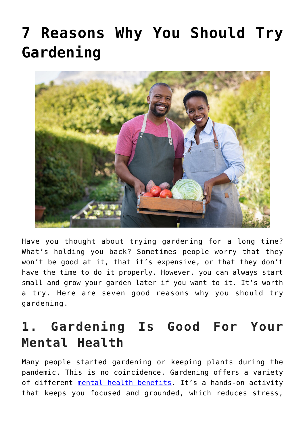# **[7 Reasons Why You Should Try](https://www.frugalgardening.com/7-reasons-why-you-should-try-gardening.html) [Gardening](https://www.frugalgardening.com/7-reasons-why-you-should-try-gardening.html)**



Have you thought about trying gardening for a long time? What's holding you back? Sometimes people worry that they won't be good at it, that it's expensive, or that they don't have the time to do it properly. However, you can always start small and grow your garden later if you want to it. It's worth a try. Here are seven good reasons why you should try gardening.

### **1. Gardening Is Good For Your Mental Health**

Many people started gardening or keeping plants during the pandemic. This is no coincidence. Gardening offers a variety of different [mental health benefits](https://mindfulcenter.org/keeping-plants-improves-mental-health/). It's a hands-on activity that keeps you focused and grounded, which reduces stress,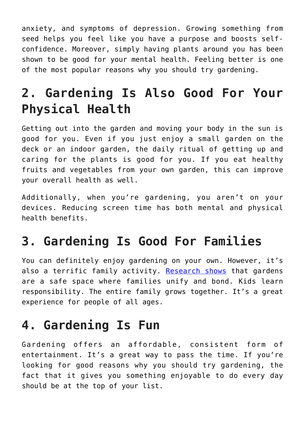anxiety, and symptoms of depression. Growing something from seed helps you feel like you have a purpose and boosts selfconfidence. Moreover, simply having plants around you has been shown to be good for your mental health. Feeling better is one of the most popular reasons why you should try gardening.

# **2. Gardening Is Also Good For Your Physical Health**

Getting out into the garden and moving your body in the sun is good for you. Even if you just enjoy a small garden on the deck or an indoor garden, the daily ritual of getting up and caring for the plants is good for you. If you eat healthy fruits and vegetables from your own garden, this can improve your overall health as well.

Additionally, when you're gardening, you aren't on your devices. Reducing screen time has both mental and physical health benefits.

#### **3. Gardening Is Good For Families**

You can definitely enjoy gardening on your own. However, it's also a terrific family activity. [Research shows](https://www.everydayhealth.com/healthy-home/reasons-to-start-a-garden.aspx) that gardens are a safe space where families unify and bond. Kids learn responsibility. The entire family grows together. It's a great experience for people of all ages.

### **4. Gardening Is Fun**

Gardening offers an affordable, consistent form of entertainment. It's a great way to pass the time. If you're looking for good reasons why you should try gardening, the fact that it gives you something enjoyable to do every day should be at the top of your list.